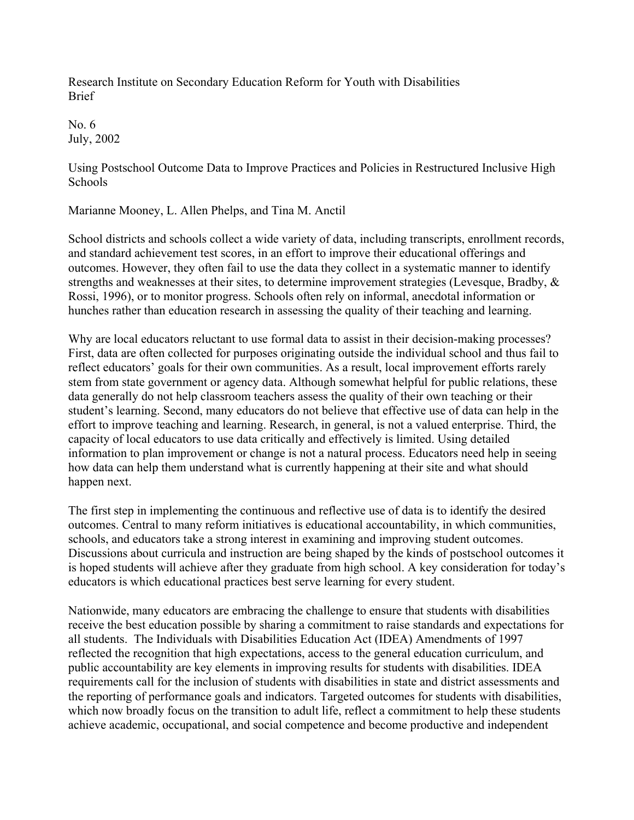Research Institute on Secondary Education Reform for Youth with Disabilities Brief

No. 6 July, 2002

Using Postschool Outcome Data to Improve Practices and Policies in Restructured Inclusive High Schools

Marianne Mooney, L. Allen Phelps, and Tina M. Anctil

School districts and schools collect a wide variety of data, including transcripts, enrollment records, and standard achievement test scores, in an effort to improve their educational offerings and outcomes. However, they often fail to use the data they collect in a systematic manner to identify strengths and weaknesses at their sites, to determine improvement strategies (Levesque, Bradby, & Rossi, 1996), or to monitor progress. Schools often rely on informal, anecdotal information or hunches rather than education research in assessing the quality of their teaching and learning.

Why are local educators reluctant to use formal data to assist in their decision-making processes? First, data are often collected for purposes originating outside the individual school and thus fail to reflect educators' goals for their own communities. As a result, local improvement efforts rarely stem from state government or agency data. Although somewhat helpful for public relations, these data generally do not help classroom teachers assess the quality of their own teaching or their student's learning. Second, many educators do not believe that effective use of data can help in the effort to improve teaching and learning. Research, in general, is not a valued enterprise. Third, the capacity of local educators to use data critically and effectively is limited. Using detailed information to plan improvement or change is not a natural process. Educators need help in seeing how data can help them understand what is currently happening at their site and what should happen next.

The first step in implementing the continuous and reflective use of data is to identify the desired outcomes. Central to many reform initiatives is educational accountability, in which communities, schools, and educators take a strong interest in examining and improving student outcomes. Discussions about curricula and instruction are being shaped by the kinds of postschool outcomes it is hoped students will achieve after they graduate from high school. A key consideration for today's educators is which educational practices best serve learning for every student.

Nationwide, many educators are embracing the challenge to ensure that students with disabilities receive the best education possible by sharing a commitment to raise standards and expectations for all students. The Individuals with Disabilities Education Act (IDEA) Amendments of 1997 reflected the recognition that high expectations, access to the general education curriculum, and public accountability are key elements in improving results for students with disabilities. IDEA requirements call for the inclusion of students with disabilities in state and district assessments and the reporting of performance goals and indicators. Targeted outcomes for students with disabilities, which now broadly focus on the transition to adult life, reflect a commitment to help these students achieve academic, occupational, and social competence and become productive and independent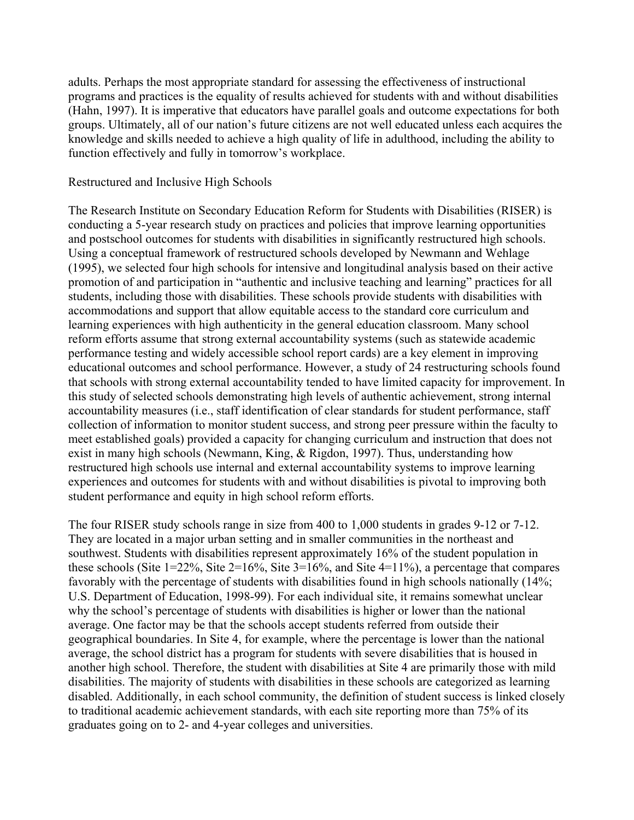adults. Perhaps the most appropriate standard for assessing the effectiveness of instructional programs and practices is the equality of results achieved for students with and without disabilities (Hahn, 1997). It is imperative that educators have parallel goals and outcome expectations for both groups. Ultimately, all of our nation's future citizens are not well educated unless each acquires the knowledge and skills needed to achieve a high quality of life in adulthood, including the ability to function effectively and fully in tomorrow's workplace.

### Restructured and Inclusive High Schools

The Research Institute on Secondary Education Reform for Students with Disabilities (RISER) is conducting a 5-year research study on practices and policies that improve learning opportunities and postschool outcomes for students with disabilities in significantly restructured high schools. Using a conceptual framework of restructured schools developed by Newmann and Wehlage (1995), we selected four high schools for intensive and longitudinal analysis based on their active promotion of and participation in "authentic and inclusive teaching and learning" practices for all students, including those with disabilities. These schools provide students with disabilities with accommodations and support that allow equitable access to the standard core curriculum and learning experiences with high authenticity in the general education classroom. Many school reform efforts assume that strong external accountability systems (such as statewide academic performance testing and widely accessible school report cards) are a key element in improving educational outcomes and school performance. However, a study of 24 restructuring schools found that schools with strong external accountability tended to have limited capacity for improvement. In this study of selected schools demonstrating high levels of authentic achievement, strong internal accountability measures (i.e., staff identification of clear standards for student performance, staff collection of information to monitor student success, and strong peer pressure within the faculty to meet established goals) provided a capacity for changing curriculum and instruction that does not exist in many high schools (Newmann, King, & Rigdon, 1997). Thus, understanding how restructured high schools use internal and external accountability systems to improve learning experiences and outcomes for students with and without disabilities is pivotal to improving both student performance and equity in high school reform efforts.

The four RISER study schools range in size from 400 to 1,000 students in grades 9-12 or 7-12. They are located in a major urban setting and in smaller communities in the northeast and southwest. Students with disabilities represent approximately 16% of the student population in these schools (Site  $1=22\%$ , Site  $2=16\%$ , Site  $3=16\%$ , and Site  $4=11\%$ ), a percentage that compares favorably with the percentage of students with disabilities found in high schools nationally (14%; U.S. Department of Education, 1998-99). For each individual site, it remains somewhat unclear why the school's percentage of students with disabilities is higher or lower than the national average. One factor may be that the schools accept students referred from outside their geographical boundaries. In Site 4, for example, where the percentage is lower than the national average, the school district has a program for students with severe disabilities that is housed in another high school. Therefore, the student with disabilities at Site 4 are primarily those with mild disabilities. The majority of students with disabilities in these schools are categorized as learning disabled. Additionally, in each school community, the definition of student success is linked closely to traditional academic achievement standards, with each site reporting more than 75% of its graduates going on to 2- and 4-year colleges and universities.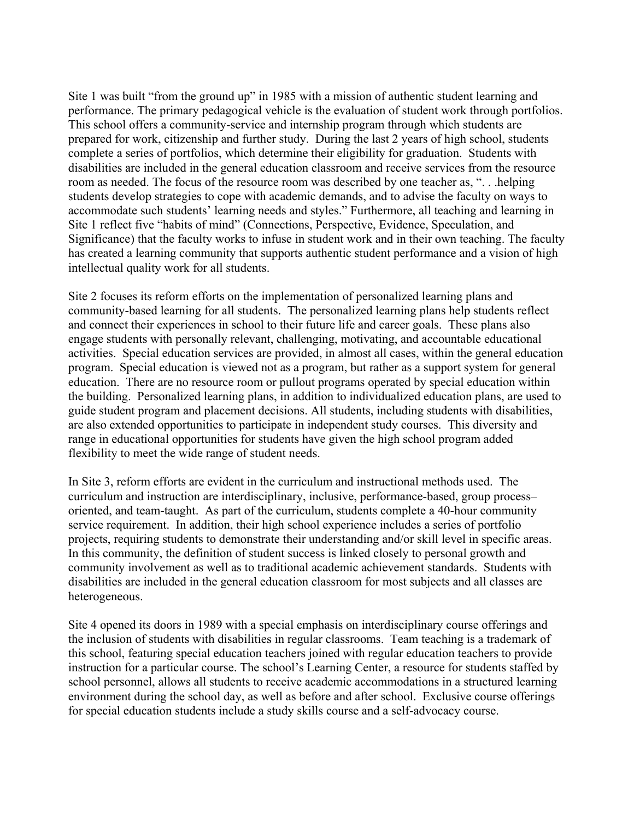Site 1 was built "from the ground up" in 1985 with a mission of authentic student learning and performance. The primary pedagogical vehicle is the evaluation of student work through portfolios. This school offers a community-service and internship program through which students are prepared for work, citizenship and further study. During the last 2 years of high school, students complete a series of portfolios, which determine their eligibility for graduation. Students with disabilities are included in the general education classroom and receive services from the resource room as needed. The focus of the resource room was described by one teacher as, ". . .helping students develop strategies to cope with academic demands, and to advise the faculty on ways to accommodate such students' learning needs and styles." Furthermore, all teaching and learning in Site 1 reflect five "habits of mind" (Connections, Perspective, Evidence, Speculation, and Significance) that the faculty works to infuse in student work and in their own teaching. The faculty has created a learning community that supports authentic student performance and a vision of high intellectual quality work for all students.

Site 2 focuses its reform efforts on the implementation of personalized learning plans and community-based learning for all students. The personalized learning plans help students reflect and connect their experiences in school to their future life and career goals. These plans also engage students with personally relevant, challenging, motivating, and accountable educational activities. Special education services are provided, in almost all cases, within the general education program. Special education is viewed not as a program, but rather as a support system for general education. There are no resource room or pullout programs operated by special education within the building. Personalized learning plans, in addition to individualized education plans, are used to guide student program and placement decisions. All students, including students with disabilities, are also extended opportunities to participate in independent study courses. This diversity and range in educational opportunities for students have given the high school program added flexibility to meet the wide range of student needs.

In Site 3, reform efforts are evident in the curriculum and instructional methods used. The curriculum and instruction are interdisciplinary, inclusive, performance-based, group process– oriented, and team-taught. As part of the curriculum, students complete a 40-hour community service requirement. In addition, their high school experience includes a series of portfolio projects, requiring students to demonstrate their understanding and/or skill level in specific areas. In this community, the definition of student success is linked closely to personal growth and community involvement as well as to traditional academic achievement standards. Students with disabilities are included in the general education classroom for most subjects and all classes are heterogeneous.

Site 4 opened its doors in 1989 with a special emphasis on interdisciplinary course offerings and the inclusion of students with disabilities in regular classrooms. Team teaching is a trademark of this school, featuring special education teachers joined with regular education teachers to provide instruction for a particular course. The school's Learning Center, a resource for students staffed by school personnel, allows all students to receive academic accommodations in a structured learning environment during the school day, as well as before and after school. Exclusive course offerings for special education students include a study skills course and a self-advocacy course.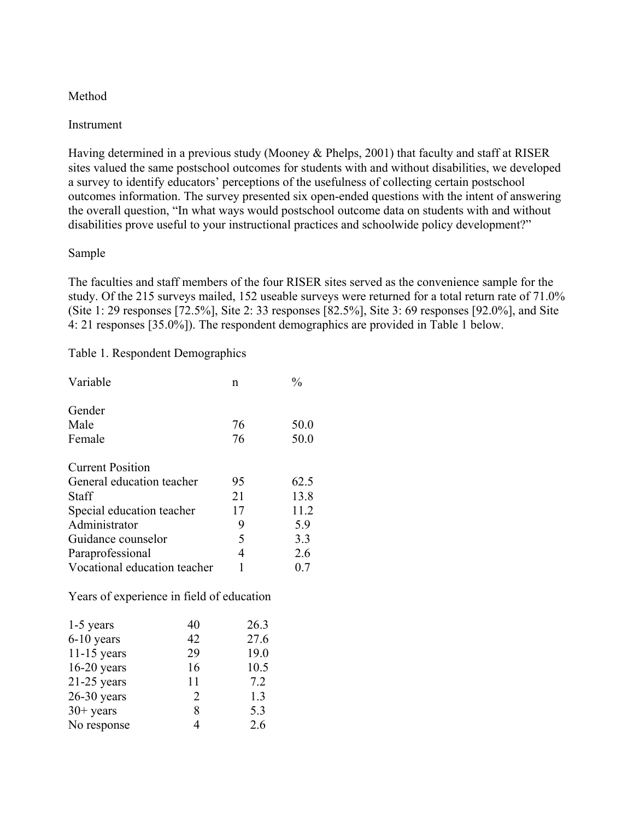### Method

### Instrument

Having determined in a previous study (Mooney & Phelps, 2001) that faculty and staff at RISER sites valued the same postschool outcomes for students with and without disabilities, we developed a survey to identify educators' perceptions of the usefulness of collecting certain postschool outcomes information. The survey presented six open-ended questions with the intent of answering the overall question, "In what ways would postschool outcome data on students with and without disabilities prove useful to your instructional practices and schoolwide policy development?"

### Sample

The faculties and staff members of the four RISER sites served as the convenience sample for the study. Of the 215 surveys mailed, 152 useable surveys were returned for a total return rate of 71.0% (Site 1: 29 responses [72.5%], Site 2: 33 responses [82.5%], Site 3: 69 responses [92.0%], and Site 4: 21 responses [35.0%]). The respondent demographics are provided in Table 1 below.

### Table 1. Respondent Demographics

| Variable                     | n  | $\frac{0}{0}$ |
|------------------------------|----|---------------|
| Gender                       |    |               |
| Male                         | 76 | 50.0          |
| Female                       | 76 | 50.0          |
| <b>Current Position</b>      |    |               |
| General education teacher    | 95 | 62.5          |
| Staff                        | 21 | 13.8          |
| Special education teacher    | 17 | 11.2          |
| Administrator                | 9  | 5.9           |
| Guidance counselor           | 5  | 3.3           |
| Paraprofessional             | 4  | 2.6           |
| Vocational education teacher |    | 0.7           |

Years of experience in field of education

| 40                          | 26.3 |
|-----------------------------|------|
| 42                          | 27.6 |
| 29                          | 19.0 |
| 16                          | 10.5 |
| 11                          | 7.2  |
| $\mathcal{D}_{\mathcal{L}}$ | 1.3  |
| 8                           | 5.3  |
|                             | 2.6  |
|                             |      |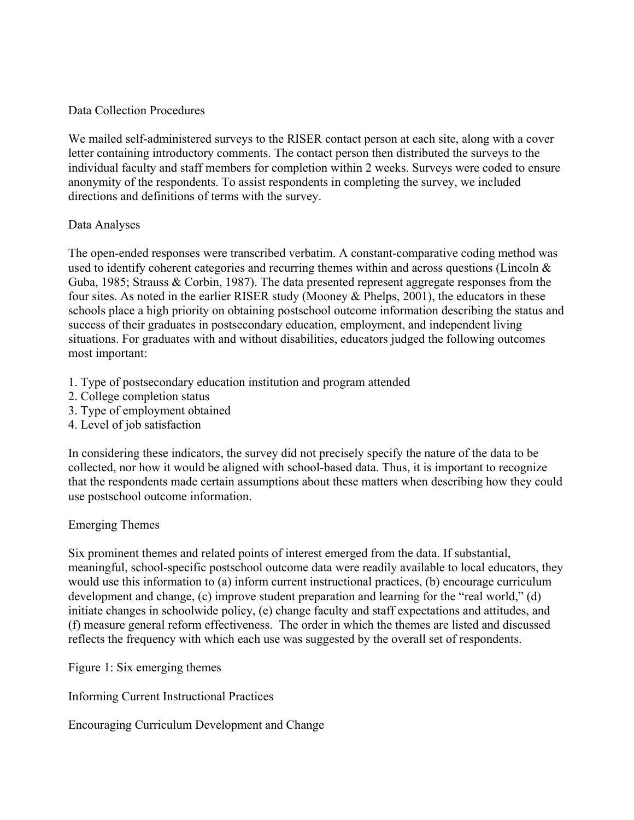### Data Collection Procedures

We mailed self-administered surveys to the RISER contact person at each site, along with a cover letter containing introductory comments. The contact person then distributed the surveys to the individual faculty and staff members for completion within 2 weeks. Surveys were coded to ensure anonymity of the respondents. To assist respondents in completing the survey, we included directions and definitions of terms with the survey.

### Data Analyses

The open-ended responses were transcribed verbatim. A constant-comparative coding method was used to identify coherent categories and recurring themes within and across questions (Lincoln & Guba, 1985; Strauss & Corbin, 1987). The data presented represent aggregate responses from the four sites. As noted in the earlier RISER study (Mooney & Phelps, 2001), the educators in these schools place a high priority on obtaining postschool outcome information describing the status and success of their graduates in postsecondary education, employment, and independent living situations. For graduates with and without disabilities, educators judged the following outcomes most important:

- 1. Type of postsecondary education institution and program attended
- 2. College completion status
- 3. Type of employment obtained
- 4. Level of job satisfaction

In considering these indicators, the survey did not precisely specify the nature of the data to be collected, nor how it would be aligned with school-based data. Thus, it is important to recognize that the respondents made certain assumptions about these matters when describing how they could use postschool outcome information.

## Emerging Themes

Six prominent themes and related points of interest emerged from the data. If substantial, meaningful, school-specific postschool outcome data were readily available to local educators, they would use this information to (a) inform current instructional practices, (b) encourage curriculum development and change, (c) improve student preparation and learning for the "real world," (d) initiate changes in schoolwide policy, (e) change faculty and staff expectations and attitudes, and (f) measure general reform effectiveness. The order in which the themes are listed and discussed reflects the frequency with which each use was suggested by the overall set of respondents.

Figure 1: Six emerging themes

Informing Current Instructional Practices

Encouraging Curriculum Development and Change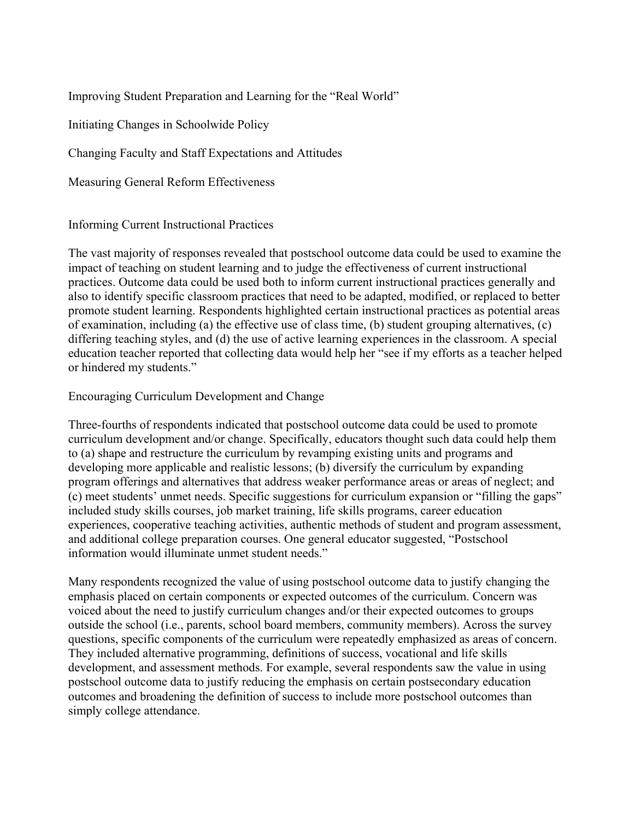Improving Student Preparation and Learning for the "Real World"

Initiating Changes in Schoolwide Policy

Changing Faculty and Staff Expectations and Attitudes

Measuring General Reform Effectiveness

Informing Current Instructional Practices

The vast majority of responses revealed that postschool outcome data could be used to examine the impact of teaching on student learning and to judge the effectiveness of current instructional practices. Outcome data could be used both to inform current instructional practices generally and also to identify specific classroom practices that need to be adapted, modified, or replaced to better promote student learning. Respondents highlighted certain instructional practices as potential areas of examination, including (a) the effective use of class time, (b) student grouping alternatives, (c) differing teaching styles, and (d) the use of active learning experiences in the classroom. A special education teacher reported that collecting data would help her "see if my efforts as a teacher helped or hindered my students."

Encouraging Curriculum Development and Change

Three-fourths of respondents indicated that postschool outcome data could be used to promote curriculum development and/or change. Specifically, educators thought such data could help them to (a) shape and restructure the curriculum by revamping existing units and programs and developing more applicable and realistic lessons; (b) diversify the curriculum by expanding program offerings and alternatives that address weaker performance areas or areas of neglect; and (c) meet students' unmet needs. Specific suggestions for curriculum expansion or "filling the gaps" included study skills courses, job market training, life skills programs, career education experiences, cooperative teaching activities, authentic methods of student and program assessment, and additional college preparation courses. One general educator suggested, "Postschool information would illuminate unmet student needs."

Many respondents recognized the value of using postschool outcome data to justify changing the emphasis placed on certain components or expected outcomes of the curriculum. Concern was voiced about the need to justify curriculum changes and/or their expected outcomes to groups outside the school (i.e., parents, school board members, community members). Across the survey questions, specific components of the curriculum were repeatedly emphasized as areas of concern. They included alternative programming, definitions of success, vocational and life skills development, and assessment methods. For example, several respondents saw the value in using postschool outcome data to justify reducing the emphasis on certain postsecondary education outcomes and broadening the definition of success to include more postschool outcomes than simply college attendance.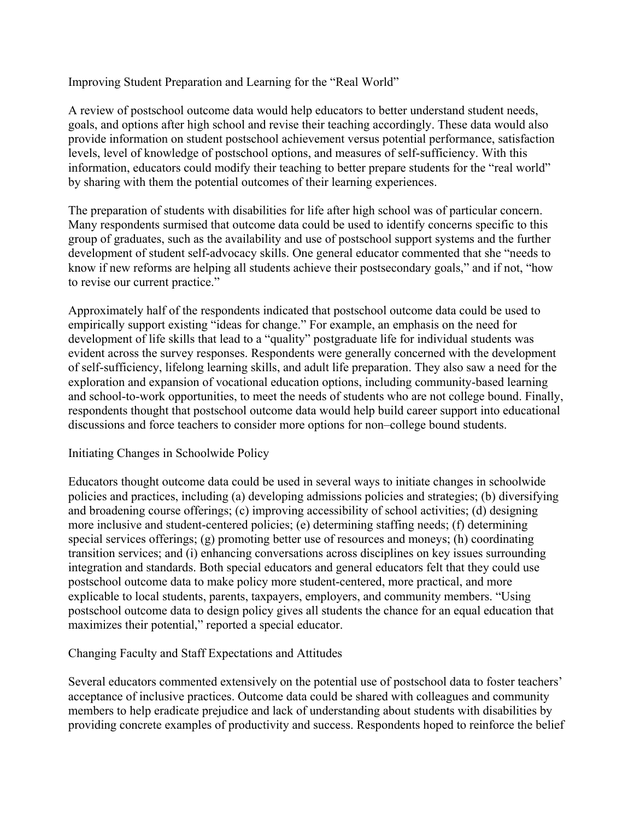Improving Student Preparation and Learning for the "Real World"

A review of postschool outcome data would help educators to better understand student needs, goals, and options after high school and revise their teaching accordingly. These data would also provide information on student postschool achievement versus potential performance, satisfaction levels, level of knowledge of postschool options, and measures of self-sufficiency. With this information, educators could modify their teaching to better prepare students for the "real world" by sharing with them the potential outcomes of their learning experiences.

The preparation of students with disabilities for life after high school was of particular concern. Many respondents surmised that outcome data could be used to identify concerns specific to this group of graduates, such as the availability and use of postschool support systems and the further development of student self-advocacy skills. One general educator commented that she "needs to know if new reforms are helping all students achieve their postsecondary goals," and if not, "how to revise our current practice."

Approximately half of the respondents indicated that postschool outcome data could be used to empirically support existing "ideas for change." For example, an emphasis on the need for development of life skills that lead to a "quality" postgraduate life for individual students was evident across the survey responses. Respondents were generally concerned with the development of self-sufficiency, lifelong learning skills, and adult life preparation. They also saw a need for the exploration and expansion of vocational education options, including community-based learning and school-to-work opportunities, to meet the needs of students who are not college bound. Finally, respondents thought that postschool outcome data would help build career support into educational discussions and force teachers to consider more options for non–college bound students.

#### Initiating Changes in Schoolwide Policy

Educators thought outcome data could be used in several ways to initiate changes in schoolwide policies and practices, including (a) developing admissions policies and strategies; (b) diversifying and broadening course offerings; (c) improving accessibility of school activities; (d) designing more inclusive and student-centered policies; (e) determining staffing needs; (f) determining special services offerings; (g) promoting better use of resources and moneys; (h) coordinating transition services; and (i) enhancing conversations across disciplines on key issues surrounding integration and standards. Both special educators and general educators felt that they could use postschool outcome data to make policy more student-centered, more practical, and more explicable to local students, parents, taxpayers, employers, and community members. "Using postschool outcome data to design policy gives all students the chance for an equal education that maximizes their potential," reported a special educator.

## Changing Faculty and Staff Expectations and Attitudes

Several educators commented extensively on the potential use of postschool data to foster teachers' acceptance of inclusive practices. Outcome data could be shared with colleagues and community members to help eradicate prejudice and lack of understanding about students with disabilities by providing concrete examples of productivity and success. Respondents hoped to reinforce the belief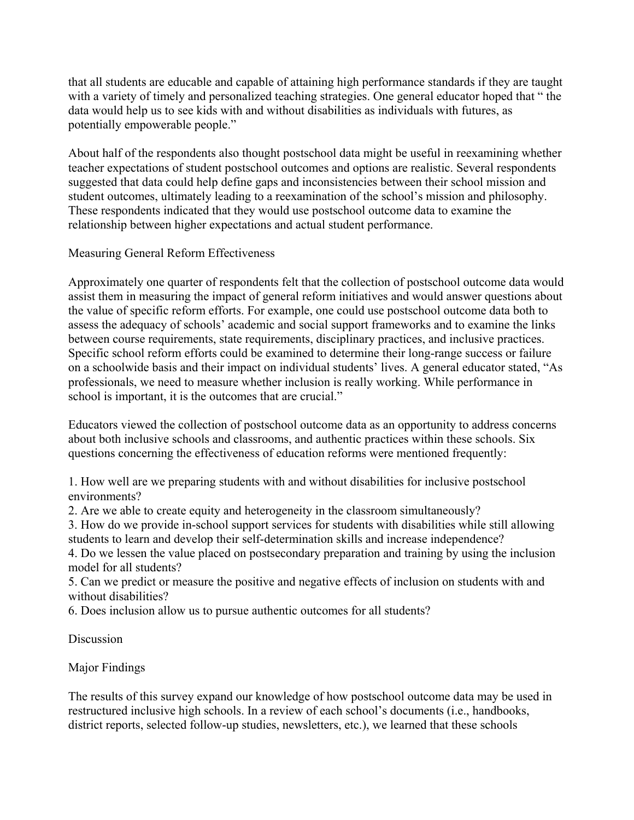that all students are educable and capable of attaining high performance standards if they are taught with a variety of timely and personalized teaching strategies. One general educator hoped that " the data would help us to see kids with and without disabilities as individuals with futures, as potentially empowerable people."

About half of the respondents also thought postschool data might be useful in reexamining whether teacher expectations of student postschool outcomes and options are realistic. Several respondents suggested that data could help define gaps and inconsistencies between their school mission and student outcomes, ultimately leading to a reexamination of the school's mission and philosophy. These respondents indicated that they would use postschool outcome data to examine the relationship between higher expectations and actual student performance.

Measuring General Reform Effectiveness

Approximately one quarter of respondents felt that the collection of postschool outcome data would assist them in measuring the impact of general reform initiatives and would answer questions about the value of specific reform efforts. For example, one could use postschool outcome data both to assess the adequacy of schools' academic and social support frameworks and to examine the links between course requirements, state requirements, disciplinary practices, and inclusive practices. Specific school reform efforts could be examined to determine their long-range success or failure on a schoolwide basis and their impact on individual students' lives. A general educator stated, "As professionals, we need to measure whether inclusion is really working. While performance in school is important, it is the outcomes that are crucial."

Educators viewed the collection of postschool outcome data as an opportunity to address concerns about both inclusive schools and classrooms, and authentic practices within these schools. Six questions concerning the effectiveness of education reforms were mentioned frequently:

1. How well are we preparing students with and without disabilities for inclusive postschool environments?

2. Are we able to create equity and heterogeneity in the classroom simultaneously?

3. How do we provide in-school support services for students with disabilities while still allowing students to learn and develop their self-determination skills and increase independence?

4. Do we lessen the value placed on postsecondary preparation and training by using the inclusion model for all students?

5. Can we predict or measure the positive and negative effects of inclusion on students with and without disabilities?

6. Does inclusion allow us to pursue authentic outcomes for all students?

## Discussion

# Major Findings

The results of this survey expand our knowledge of how postschool outcome data may be used in restructured inclusive high schools. In a review of each school's documents (i.e., handbooks, district reports, selected follow-up studies, newsletters, etc.), we learned that these schools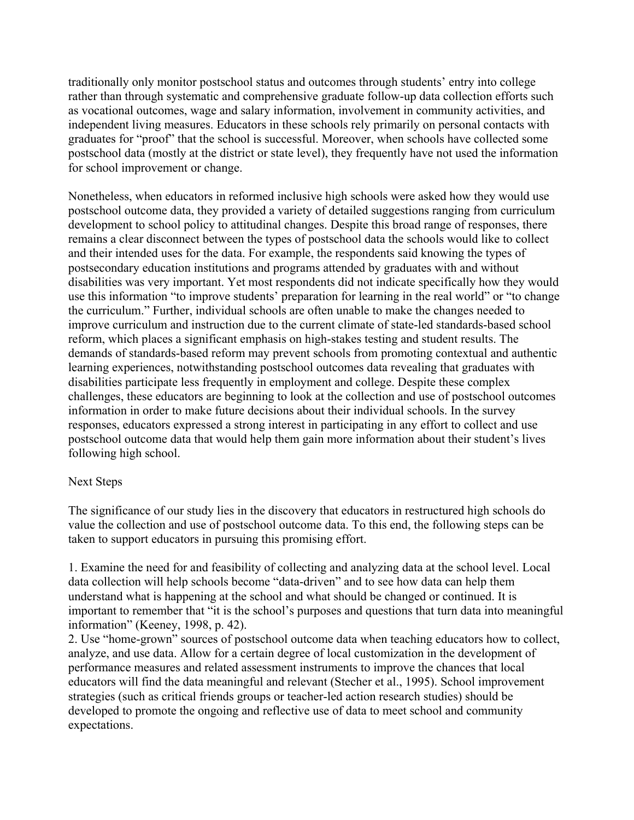traditionally only monitor postschool status and outcomes through students' entry into college rather than through systematic and comprehensive graduate follow-up data collection efforts such as vocational outcomes, wage and salary information, involvement in community activities, and independent living measures. Educators in these schools rely primarily on personal contacts with graduates for "proof" that the school is successful. Moreover, when schools have collected some postschool data (mostly at the district or state level), they frequently have not used the information for school improvement or change.

Nonetheless, when educators in reformed inclusive high schools were asked how they would use postschool outcome data, they provided a variety of detailed suggestions ranging from curriculum development to school policy to attitudinal changes. Despite this broad range of responses, there remains a clear disconnect between the types of postschool data the schools would like to collect and their intended uses for the data. For example, the respondents said knowing the types of postsecondary education institutions and programs attended by graduates with and without disabilities was very important. Yet most respondents did not indicate specifically how they would use this information "to improve students' preparation for learning in the real world" or "to change the curriculum." Further, individual schools are often unable to make the changes needed to improve curriculum and instruction due to the current climate of state-led standards-based school reform, which places a significant emphasis on high-stakes testing and student results. The demands of standards-based reform may prevent schools from promoting contextual and authentic learning experiences, notwithstanding postschool outcomes data revealing that graduates with disabilities participate less frequently in employment and college. Despite these complex challenges, these educators are beginning to look at the collection and use of postschool outcomes information in order to make future decisions about their individual schools. In the survey responses, educators expressed a strong interest in participating in any effort to collect and use postschool outcome data that would help them gain more information about their student's lives following high school.

## Next Steps

The significance of our study lies in the discovery that educators in restructured high schools do value the collection and use of postschool outcome data. To this end, the following steps can be taken to support educators in pursuing this promising effort.

1. Examine the need for and feasibility of collecting and analyzing data at the school level. Local data collection will help schools become "data-driven" and to see how data can help them understand what is happening at the school and what should be changed or continued. It is important to remember that "it is the school's purposes and questions that turn data into meaningful information" (Keeney, 1998, p. 42).

2. Use "home-grown" sources of postschool outcome data when teaching educators how to collect, analyze, and use data. Allow for a certain degree of local customization in the development of performance measures and related assessment instruments to improve the chances that local educators will find the data meaningful and relevant (Stecher et al., 1995). School improvement strategies (such as critical friends groups or teacher-led action research studies) should be developed to promote the ongoing and reflective use of data to meet school and community expectations.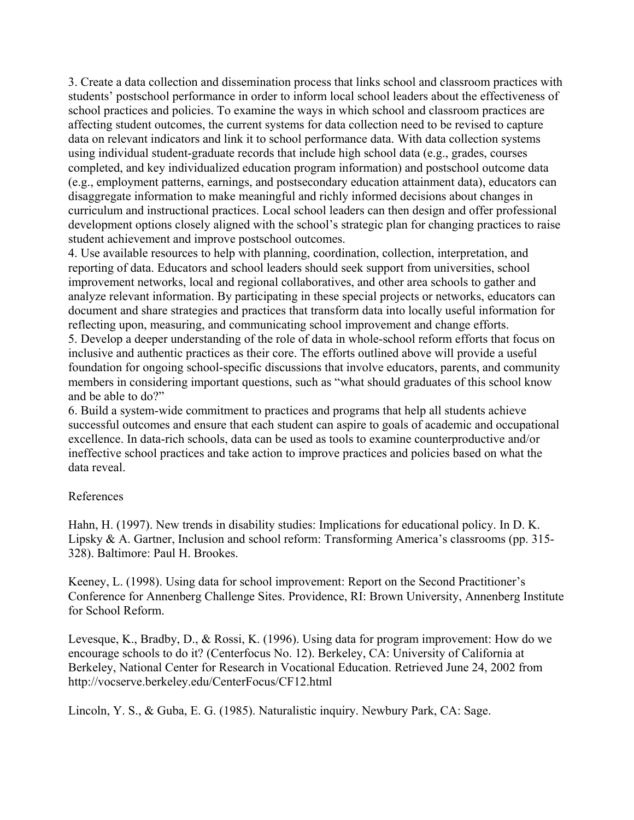3. Create a data collection and dissemination process that links school and classroom practices with students' postschool performance in order to inform local school leaders about the effectiveness of school practices and policies. To examine the ways in which school and classroom practices are affecting student outcomes, the current systems for data collection need to be revised to capture data on relevant indicators and link it to school performance data. With data collection systems using individual student-graduate records that include high school data (e.g., grades, courses completed, and key individualized education program information) and postschool outcome data (e.g., employment patterns, earnings, and postsecondary education attainment data), educators can disaggregate information to make meaningful and richly informed decisions about changes in curriculum and instructional practices. Local school leaders can then design and offer professional development options closely aligned with the school's strategic plan for changing practices to raise student achievement and improve postschool outcomes.

4. Use available resources to help with planning, coordination, collection, interpretation, and reporting of data. Educators and school leaders should seek support from universities, school improvement networks, local and regional collaboratives, and other area schools to gather and analyze relevant information. By participating in these special projects or networks, educators can document and share strategies and practices that transform data into locally useful information for reflecting upon, measuring, and communicating school improvement and change efforts.

5. Develop a deeper understanding of the role of data in whole-school reform efforts that focus on inclusive and authentic practices as their core. The efforts outlined above will provide a useful foundation for ongoing school-specific discussions that involve educators, parents, and community members in considering important questions, such as "what should graduates of this school know and be able to do?"

6. Build a system-wide commitment to practices and programs that help all students achieve successful outcomes and ensure that each student can aspire to goals of academic and occupational excellence. In data-rich schools, data can be used as tools to examine counterproductive and/or ineffective school practices and take action to improve practices and policies based on what the data reveal.

#### References

Hahn, H. (1997). New trends in disability studies: Implications for educational policy. In D. K. Lipsky & A. Gartner, Inclusion and school reform: Transforming America's classrooms (pp. 315- 328). Baltimore: Paul H. Brookes.

Keeney, L. (1998). Using data for school improvement: Report on the Second Practitioner's Conference for Annenberg Challenge Sites. Providence, RI: Brown University, Annenberg Institute for School Reform.

Levesque, K., Bradby, D., & Rossi, K. (1996). Using data for program improvement: How do we encourage schools to do it? (Centerfocus No. 12). Berkeley, CA: University of California at Berkeley, National Center for Research in Vocational Education. Retrieved June 24, 2002 from http://vocserve.berkeley.edu/CenterFocus/CF12.html

Lincoln, Y. S., & Guba, E. G. (1985). Naturalistic inquiry. Newbury Park, CA: Sage.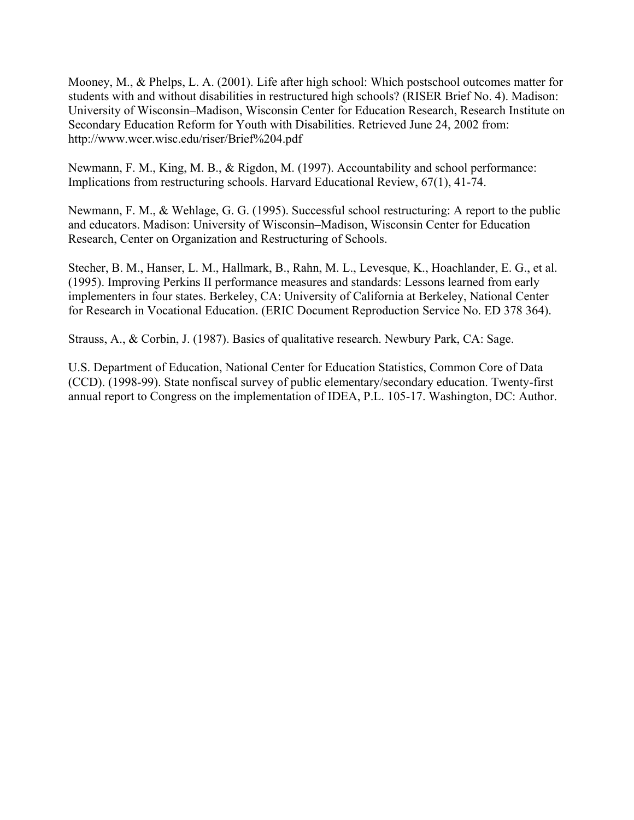Mooney, M., & Phelps, L. A. (2001). Life after high school: Which postschool outcomes matter for students with and without disabilities in restructured high schools? (RISER Brief No. 4). Madison: University of Wisconsin–Madison, Wisconsin Center for Education Research, Research Institute on Secondary Education Reform for Youth with Disabilities. Retrieved June 24, 2002 from: http://www.wcer.wisc.edu/riser/Brief%204.pdf

Newmann, F. M., King, M. B., & Rigdon, M. (1997). Accountability and school performance: Implications from restructuring schools. Harvard Educational Review, 67(1), 41-74.

Newmann, F. M., & Wehlage, G. G. (1995). Successful school restructuring: A report to the public and educators. Madison: University of Wisconsin–Madison, Wisconsin Center for Education Research, Center on Organization and Restructuring of Schools.

Stecher, B. M., Hanser, L. M., Hallmark, B., Rahn, M. L., Levesque, K., Hoachlander, E. G., et al. (1995). Improving Perkins II performance measures and standards: Lessons learned from early implementers in four states. Berkeley, CA: University of California at Berkeley, National Center for Research in Vocational Education. (ERIC Document Reproduction Service No. ED 378 364).

Strauss, A., & Corbin, J. (1987). Basics of qualitative research. Newbury Park, CA: Sage.

U.S. Department of Education, National Center for Education Statistics, Common Core of Data (CCD). (1998-99). State nonfiscal survey of public elementary/secondary education. Twenty-first annual report to Congress on the implementation of IDEA, P.L. 105-17. Washington, DC: Author.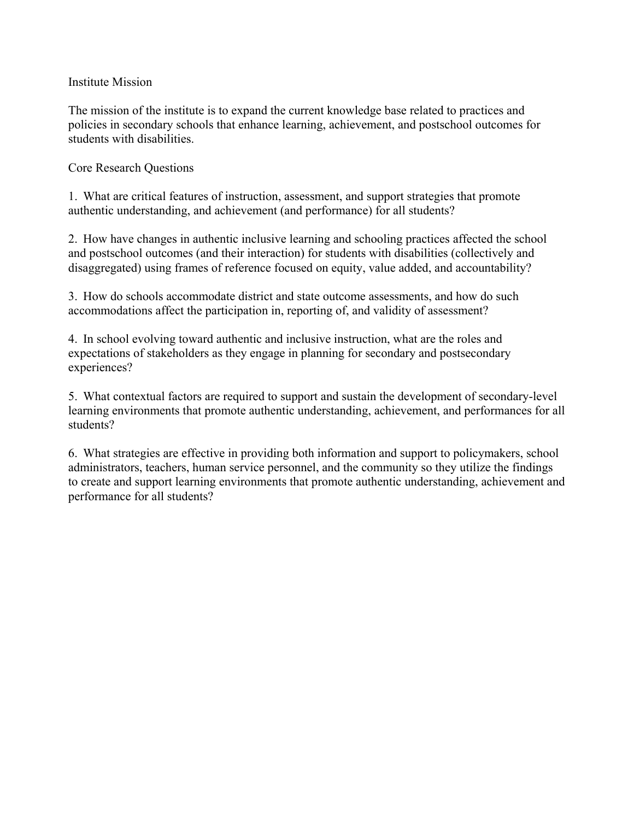### Institute Mission

The mission of the institute is to expand the current knowledge base related to practices and policies in secondary schools that enhance learning, achievement, and postschool outcomes for students with disabilities.

### Core Research Questions

1. What are critical features of instruction, assessment, and support strategies that promote authentic understanding, and achievement (and performance) for all students?

2. How have changes in authentic inclusive learning and schooling practices affected the school and postschool outcomes (and their interaction) for students with disabilities (collectively and disaggregated) using frames of reference focused on equity, value added, and accountability?

3. How do schools accommodate district and state outcome assessments, and how do such accommodations affect the participation in, reporting of, and validity of assessment?

4. In school evolving toward authentic and inclusive instruction, what are the roles and expectations of stakeholders as they engage in planning for secondary and postsecondary experiences?

5. What contextual factors are required to support and sustain the development of secondary-level learning environments that promote authentic understanding, achievement, and performances for all students?

6. What strategies are effective in providing both information and support to policymakers, school administrators, teachers, human service personnel, and the community so they utilize the findings to create and support learning environments that promote authentic understanding, achievement and performance for all students?